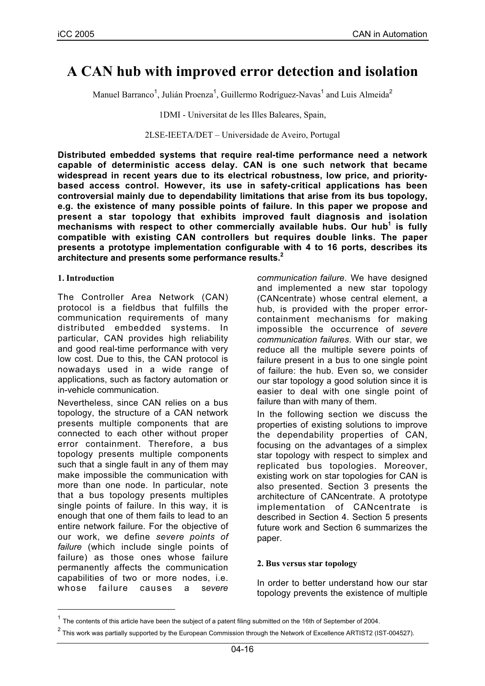# **A CAN hub with improved error detection and isolation**

Manuel Barranco<sup>1</sup>, Julián Proenza<sup>1</sup>, Guillermo Rodríguez-Navas<sup>1</sup> and Luis Almeida<sup>2</sup>

1DMI - Universitat de les Illes Baleares, Spain,

2LSE-IEETA/DET – Universidade de Aveiro, Portugal

**Distributed embedded systems that require real-time performance need a network capable of deterministic access delay. CAN is one such network that became widespread in recent years due to its electrical robustness, low price, and prioritybased access control. However, its use in safety-critical applications has been controversial mainly due to dependability limitations that arise from its bus topology, e.g. the existence of many possible points of failure. In this paper we propose and present a star topology that exhibits improved fault diagnosis and isolation** mechanisms with respect to other commercially available hubs. Our hub<sup>1</sup> is fully **compatible with existing CAN controllers but requires double links. The paper presents a prototype implementation configurable with 4 to 16 ports, describes its architecture and presents some performance results.<sup>2</sup>**

#### **1. Introduction**

The Controller Area Network (CAN) protocol is a fieldbus that fulfills the communication requirements of many distributed embedded systems. In particular, CAN provides high reliability and good real-time performance with very low cost. Due to this, the CAN protocol is nowadays used in a wide range of applications, such as factory automation or in-vehicle communication.

Nevertheless, since CAN relies on a bus topology, the structure of a CAN network presents multiple components that are connected to each other without proper error containment. Therefore, a bus topology presents multiple components such that a single fault in any of them may make impossible the communication with more than one node. In particular, note that a bus topology presents multiples single points of failure. In this way, it is enough that one of them fails to lead to an entire network failure. For the objective of our work, we define *severe points of failure* (which include single points of failure) as those ones whose failure permanently affects the communication capabilities of two or more nodes, i.e. whose failure causes a s*evere*

*communication failure*. We have designed and implemented a new star topology (CANcentrate) whose central element, a hub, is provided with the proper errorcontainment mechanisms for making impossible the occurrence of *severe communication failures*. With our star, we reduce all the multiple severe points of failure present in a bus to one single point of failure: the hub. Even so, we consider our star topology a good solution since it is easier to deal with one single point of failure than with many of them.

In the following section we discuss the properties of existing solutions to improve the dependability properties of CAN, focusing on the advantages of a simplex star topology with respect to simplex and replicated bus topologies. Moreover, existing work on star topologies for CAN is also presented. Section 3 presents the architecture of CANcentrate. A prototype implementation of CANcentrate is described in Section 4. Section 5 presents future work and Section 6 summarizes the paper.

#### **2. Bus versus star topology**

In order to better understand how our star topology prevents the existence of multiple

 $1$  The contents of this article have been the subject of a patent filing submitted on the 16th of September of 2004.

 $^2$  This work was partially supported by the European Commission through the Network of Excellence ARTIST2 (IST-004527).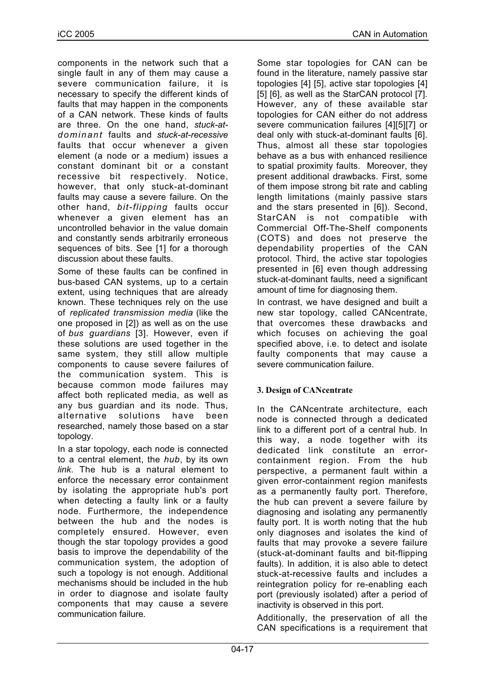components in the network such that a single fault in any of them may cause a severe communication failure, it is necessary to specify the different kinds of faults that may happen in the components of a CAN network. These kinds of faults are three. On the one hand, *stuck-atdominant* faults and *stuck-at-recessive* faults that occur whenever a given element (a node or a medium) issues a constant dominant bit or a constant recessive bit respectively. Notice, however, that only stuck-at-dominant faults may cause a severe failure. On the other hand, *bit-flipping* faults occur whenever a given element has an uncontrolled behavior in the value domain and constantly sends arbitrarily erroneous sequences of bits. See [1] for a thorough discussion about these faults.

Some of these faults can be confined in bus-based CAN systems, up to a certain extent, using techniques that are already known. These techniques rely on the use of *replicated transmission media* (like the one proposed in [2]) as well as on the use of *bus guardians* [3]. However, even if these solutions are used together in the same system, they still allow multiple components to cause severe failures of the communication system. This is because common mode failures may affect both replicated media, as well as any bus guardian and its node. Thus, alternative solutions have been researched, namely those based on a star topology.

In a star topology, each node is connected to a central element, the *hub*, by its own *link*. The hub is a natural element to enforce the necessary error containment by isolating the appropriate hub's port when detecting a faulty link or a faulty node. Furthermore, the independence between the hub and the nodes is completely ensured. However, even though the star topology provides a good basis to improve the dependability of the communication system, the adoption of such a topology is not enough. Additional mechanisms should be included in the hub in order to diagnose and isolate faulty components that may cause a severe communication failure.

Some star topologies for CAN can be found in the literature, namely passive star topologies [4] [5], active star topologies [4] [5] [6], as well as the StarCAN protocol [7]. However, any of these available star topologies for CAN either do not address severe communication failures [4][5][7] or deal only with stuck-at-dominant faults [6]. Thus, almost all these star topologies behave as a bus with enhanced resilience to spatial proximity faults. Moreover, they present additional drawbacks. First, some of them impose strong bit rate and cabling length limitations (mainly passive stars and the stars presented in [6]). Second, StarCAN is not compatible with Commercial Off-The-Shelf components (COTS) and does not preserve the dependability properties of the CAN protocol. Third, the active star topologies presented in [6] even though addressing stuck-at-dominant faults, need a significant amount of time for diagnosing them.

In contrast, we have designed and built a new star topology, called CANcentrate, that overcomes these drawbacks and which focuses on achieving the goal specified above, i.e. to detect and isolate faulty components that may cause a severe communication failure.

## **3. Design of CANcentrate**

In the CANcentrate architecture, each node is connected through a dedicated link to a different port of a central hub. In this way, a node together with its dedicated link constitute an errorcontainment region. From the hub perspective, a permanent fault within a given error-containment region manifests as a permanently faulty port. Therefore, the hub can prevent a severe failure by diagnosing and isolating any permanently faulty port. It is worth noting that the hub only diagnoses and isolates the kind of faults that may provoke a severe failure (stuck-at-dominant faults and bit-flipping faults). In addition, it is also able to detect stuck-at-recessive faults and includes a reintegration policy for re-enabling each port (previously isolated) after a period of inactivity is observed in this port.

Additionally, the preservation of all the CAN specifications is a requirement that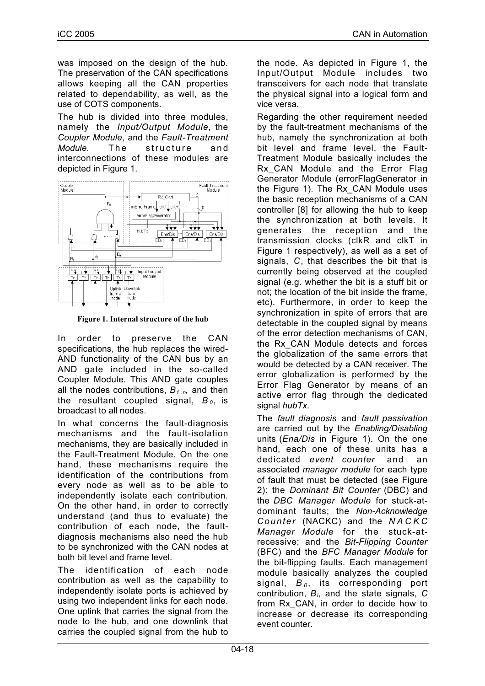was imposed on the design of the hub. The preservation of the CAN specifications allows keeping all the CAN properties related to dependability, as well, as the use of COTS components.

The hub is divided into three modules, namely the *Input/Output Module*, the *Coupler Module*, and the *Fault-Treatment Module*. The structure and interconnections of these modules are depicted in Figure 1.



**Figure 1. Internal structure of the hub**

In order to preserve the CAN specifications, the hub replaces the wired-AND functionality of the CAN bus by an AND gate included in the so-called Coupler Module. This AND gate couples all the nodes contributions,  $B_{1,n}$ , and then the resultant coupled signal,  $B_0$ , is broadcast to all nodes.

In what concerns the fault-diagnosis mechanisms and the fault-isolation mechanisms, they are basically included in the Fault-Treatment Module. On the one hand, these mechanisms require the identification of the contributions from every node as well as to be able to independently isolate each contribution. On the other hand, in order to correctly understand (and thus to evaluate) the contribution of each node, the faultdiagnosis mechanisms also need the hub to be synchronized with the CAN nodes at both bit level and frame level.

The identification of each node contribution as well as the capability to independently isolate ports is achieved by using two independent links for each node. One uplink that carries the signal from the node to the hub, and one downlink that carries the coupled signal from the hub to

the node. As depicted in Figure 1, the Input/Output Module includes two transceivers for each node that translate the physical signal into a logical form and vice versa.

Regarding the other requirement needed by the fault-treatment mechanisms of the hub, namely the synchronization at both bit level and frame level, the Fault-Treatment Module basically includes the Rx CAN Module and the Error Flag Generator Module (errorFlagGenerator in the Figure 1). The Rx\_CAN Module uses the basic reception mechanisms of a CAN controller [8] for allowing the hub to keep the synchronization at both levels. It generates the reception and the transmission clocks (clkR and clkT in Figure 1 respectively), as well as a set of signals, *C*, that describes the bit that is currently being observed at the coupled signal (e.g. whether the bit is a stuff bit or not; the location of the bit inside the frame, etc). Furthermore, in order to keep the synchronization in spite of errors that are detectable in the coupled signal by means of the error detection mechanisms of CAN, the Rx\_CAN Module detects and forces the globalization of the same errors that would be detected by a CAN receiver. The error globalization is performed by the Error Flag Generator by means of an active error flag through the dedicated signal *hubTx*.

The *fault diagnosis* and *fault passivation* are carried out by the *Enabling/Disabling* units (*Ena/Dis* in Figure 1). On the one hand, each one of these units has a dedicated *event counter* and an associated *manager module* for each type of fault that must be detected (see Figure 2): the *Dominant Bit Counter* (DBC) and the *DBC Manager Module* for stuck-atdominant faults; the *Non-Acknowledge Counter* (NACKC) and the *NACKC Manager Module* for the stuck-atrecessive; and the *Bit-Flipping Counter* (BFC) and the *BFC Manager Module* for the bit-flipping faults. Each management module basically analyzes the coupled signal, *B <sup>0</sup>* , its corresponding port contribution, *Bi*, and the state signals, *C* from Rx\_CAN, in order to decide how to increase or decrease its corresponding event counter.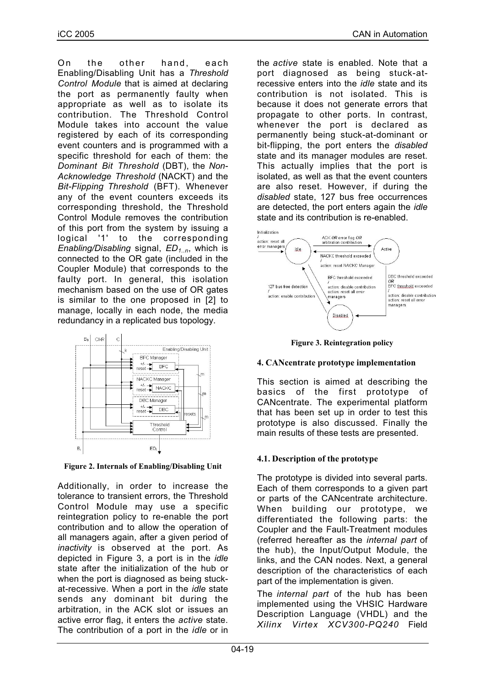On the other hand, each Enabling/Disabling Unit has a *Threshold Control Module* that is aimed at declaring the port as permanently faulty when appropriate as well as to isolate its contribution. The Threshold Control Module takes into account the value registered by each of its corresponding event counters and is programmed with a specific threshold for each of them: the *Dominant Bit Threshold* (DBT), the *Non-Acknowledge Threshold* (NACKT) and the *Bit-Flipping Threshold* (BFT). Whenever any of the event counters exceeds its corresponding threshold, the Threshold Control Module removes the contribution of this port from the system by issuing a logical '1' to the corresponding *Enabling/Disabling* signal, *ED1..n*, which is connected to the OR gate (included in the Coupler Module) that corresponds to the faulty port. In general, this isolation mechanism based on the use of OR gates is similar to the one proposed in [2] to manage, locally in each node, the media redundancy in a replicated bus topology.



**Figure 2. Internals of Enabling/Disabling Unit**

Additionally, in order to increase the tolerance to transient errors, the Threshold Control Module may use a specific reintegration policy to re-enable the port contribution and to allow the operation of all managers again, after a given period of *inactivity* is observed at the port. As depicted in Figure 3, a port is in the *idle* state after the initialization of the hub or when the port is diagnosed as being stuckat-recessive. When a port in the *idle* state sends any dominant bit during the arbitration, in the ACK slot or issues an active error flag, it enters the *active* state. The contribution of a port in the *idle* or in the *active* state is enabled. Note that a port diagnosed as being stuck-atrecessive enters into the *idle* state and its contribution is not isolated. This is because it does not generate errors that propagate to other ports. In contrast, whenever the port is declared as permanently being stuck-at-dominant or bit-flipping, the port enters the *disabled* state and its manager modules are reset. This actually implies that the port is isolated, as well as that the event counters are also reset. However, if during the *disabled* state, 127 bus free occurrences are detected, the port enters again the *idle* state and its contribution is re-enabled.



**Figure 3. Reintegration policy**

## **4. CANcentrate prototype implementation**

This section is aimed at describing the basics of the first prototype of CANcentrate. The experimental platform that has been set up in order to test this prototype is also discussed. Finally the main results of these tests are presented.

## **4.1. Description of the prototype**

The prototype is divided into several parts. Each of them corresponds to a given part or parts of the CANcentrate architecture. When building our prototype, we differentiated the following parts: the Coupler and the Fault-Treatment modules (referred hereafter as the *internal part* of the hub), the Input/Output Module, the links, and the CAN nodes. Next, a general description of the characteristics of each part of the implementation is given.

The *internal part* of the hub has been implemented using the VHSIC Hardware Description Language (VHDL) and the *Xilinx Virtex XCV300-PQ240* Field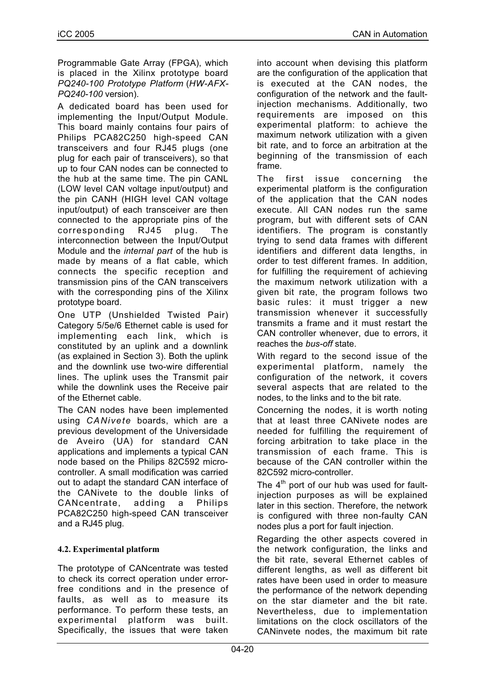Programmable Gate Array (FPGA), which is placed in the Xilinx prototype board *PQ240-100 Prototype Platform* (*HW-AFX-PQ240-100* version).

A dedicated board has been used for implementing the Input/Output Module. This board mainly contains four pairs of Philips PCA82C250 high-speed CAN transceivers and four RJ45 plugs (one plug for each pair of transceivers), so that up to four CAN nodes can be connected to the hub at the same time. The pin CANL (LOW level CAN voltage input/output) and the pin CANH (HIGH level CAN voltage input/output) of each transceiver are then connected to the appropriate pins of the corresponding RJ45 plug. The interconnection between the Input/Output Module and the *internal part* of the hub is made by means of a flat cable, which connects the specific reception and transmission pins of the CAN transceivers with the corresponding pins of the Xilinx prototype board.

One UTP (Unshielded Twisted Pair) Category 5/5e/6 Ethernet cable is used for implementing each link, which is constituted by an uplink and a downlink (as explained in Section 3). Both the uplink and the downlink use two-wire differential lines. The uplink uses the Transmit pair while the downlink uses the Receive pair of the Ethernet cable.

The CAN nodes have been implemented using *CANivete* boards, which are a previous development of the Universidade de Aveiro (UA) for standard CAN applications and implements a typical CAN node based on the Philips 82C592 microcontroller. A small modification was carried out to adapt the standard CAN interface of the CANivete to the double links of CANcentrate, adding a Philips PCA82C250 high-speed CAN transceiver and a RJ45 plug.

## **4.2. Experimental platform**

The prototype of CANcentrate was tested to check its correct operation under errorfree conditions and in the presence of faults, as well as to measure its performance. To perform these tests, an experimental platform was built. Specifically, the issues that were taken into account when devising this platform are the configuration of the application that is executed at the CAN nodes, the configuration of the network and the faultinjection mechanisms. Additionally, two requirements are imposed on this experimental platform: to achieve the maximum network utilization with a given bit rate, and to force an arbitration at the beginning of the transmission of each frame.

The first issue concerning the experimental platform is the configuration of the application that the CAN nodes execute. All CAN nodes run the same program, but with different sets of CAN identifiers. The program is constantly trying to send data frames with different identifiers and different data lengths, in order to test different frames. In addition, for fulfilling the requirement of achieving the maximum network utilization with a given bit rate, the program follows two basic rules: it must trigger a new transmission whenever it successfully transmits a frame and it must restart the CAN controller whenever, due to errors, it reaches the *bus-off* state.

With regard to the second issue of the experimental platform, namely the configuration of the network, it covers several aspects that are related to the nodes, to the links and to the bit rate.

Concerning the nodes, it is worth noting that at least three CANivete nodes are needed for fulfilling the requirement of forcing arbitration to take place in the transmission of each frame. This is because of the CAN controller within the 82C592 micro-controller.

The  $4<sup>th</sup>$  port of our hub was used for faultinjection purposes as will be explained later in this section. Therefore, the network is configured with three non-faulty CAN nodes plus a port for fault injection.

Regarding the other aspects covered in the network configuration, the links and the bit rate, several Ethernet cables of different lengths, as well as different bit rates have been used in order to measure the performance of the network depending on the star diameter and the bit rate. Nevertheless, due to implementation limitations on the clock oscillators of the CANinvete nodes, the maximum bit rate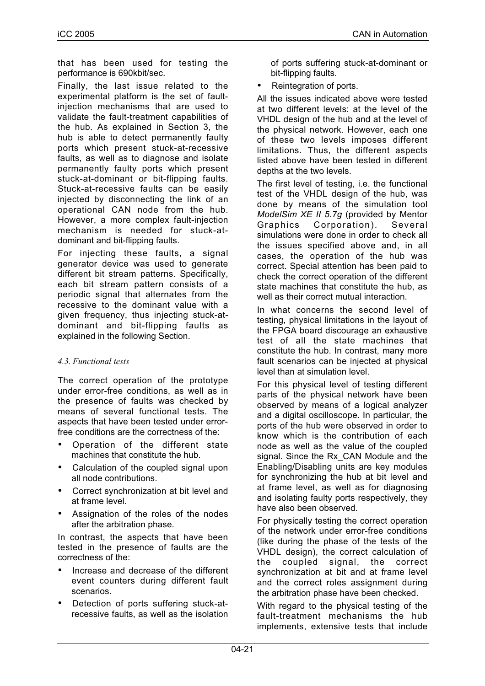that has been used for testing the performance is 690kbit/sec.

Finally, the last issue related to the experimental platform is the set of faultinjection mechanisms that are used to validate the fault-treatment capabilities of the hub. As explained in Section 3, the hub is able to detect permanently faulty ports which present stuck-at-recessive faults, as well as to diagnose and isolate permanently faulty ports which present stuck-at-dominant or bit-flipping faults. Stuck-at-recessive faults can be easily injected by disconnecting the link of an operational CAN node from the hub. However, a more complex fault-injection mechanism is needed for stuck-atdominant and bit-flipping faults.

For injecting these faults, a signal generator device was used to generate different bit stream patterns. Specifically, each bit stream pattern consists of a periodic signal that alternates from the recessive to the dominant value with a given frequency, thus injecting stuck-atdominant and bit-flipping faults as explained in the following Section.

## *4.3. Functional tests*

The correct operation of the prototype under error-free conditions, as well as in the presence of faults was checked by means of several functional tests. The aspects that have been tested under errorfree conditions are the correctness of the:

- Operation of the different state machines that constitute the hub.
- Calculation of the coupled signal upon all node contributions.
- Correct synchronization at bit level and at frame level.
- Assignation of the roles of the nodes after the arbitration phase.

In contrast, the aspects that have been tested in the presence of faults are the correctness of the:

- Increase and decrease of the different event counters during different fault scenarios.
- Detection of ports suffering stuck-atrecessive faults, as well as the isolation

of ports suffering stuck-at-dominant or bit-flipping faults.

Reintegration of ports.

All the issues indicated above were tested at two different levels: at the level of the VHDL design of the hub and at the level of the physical network. However, each one of these two levels imposes different limitations. Thus, the different aspects listed above have been tested in different depths at the two levels.

The first level of testing, i.e. the functional test of the VHDL design of the hub, was done by means of the simulation tool *ModelSim XE II 5.7g* (provided by Mentor Graphics Corporation). Several simulations were done in order to check all the issues specified above and, in all cases, the operation of the hub was correct. Special attention has been paid to check the correct operation of the different state machines that constitute the hub, as well as their correct mutual interaction.

In what concerns the second level of testing, physical limitations in the layout of the FPGA board discourage an exhaustive test of all the state machines that constitute the hub. In contrast, many more fault scenarios can be injected at physical level than at simulation level.

For this physical level of testing different parts of the physical network have been observed by means of a logical analyzer and a digital oscilloscope. In particular, the ports of the hub were observed in order to know which is the contribution of each node as well as the value of the coupled signal. Since the Rx CAN Module and the Enabling/Disabling units are key modules for synchronizing the hub at bit level and at frame level, as well as for diagnosing and isolating faulty ports respectively, they have also been observed.

For physically testing the correct operation of the network under error-free conditions (like during the phase of the tests of the VHDL design), the correct calculation of the coupled signal, the correct synchronization at bit and at frame level and the correct roles assignment during the arbitration phase have been checked.

With regard to the physical testing of the fault-treatment mechanisms the hub implements, extensive tests that include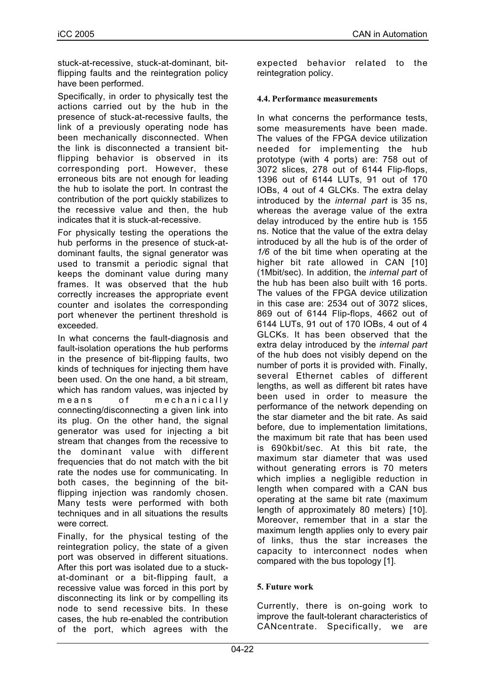stuck-at-recessive, stuck-at-dominant, bitflipping faults and the reintegration policy have been performed.

Specifically, in order to physically test the actions carried out by the hub in the presence of stuck-at-recessive faults, the link of a previously operating node has been mechanically disconnected. When the link is disconnected a transient bitflipping behavior is observed in its corresponding port. However, these erroneous bits are not enough for leading the hub to isolate the port. In contrast the contribution of the port quickly stabilizes to the recessive value and then, the hub indicates that it is stuck-at-recessive.

For physically testing the operations the hub performs in the presence of stuck-atdominant faults, the signal generator was used to transmit a periodic signal that keeps the dominant value during many frames. It was observed that the hub correctly increases the appropriate event counter and isolates the corresponding port whenever the pertinent threshold is exceeded.

In what concerns the fault-diagnosis and fault-isolation operations the hub performs in the presence of bit-flipping faults, two kinds of techniques for injecting them have been used. On the one hand, a bit stream, which has random values, was injected by means of mechanically connecting/disconnecting a given link into its plug. On the other hand, the signal generator was used for injecting a bit stream that changes from the recessive to the dominant value with different frequencies that do not match with the bit rate the nodes use for communicating. In both cases, the beginning of the bitflipping injection was randomly chosen. Many tests were performed with both techniques and in all situations the results were correct.

Finally, for the physical testing of the reintegration policy, the state of a given port was observed in different situations. After this port was isolated due to a stuckat-dominant or a bit-flipping fault, a recessive value was forced in this port by disconnecting its link or by compelling its node to send recessive bits. In these cases, the hub re-enabled the contribution of the port, which agrees with the

expected behavior related to the reintegration policy.

#### **4.4. Performance measurements**

In what concerns the performance tests, some measurements have been made. The values of the FPGA device utilization needed for implementing the hub prototype (with 4 ports) are: 758 out of 3072 slices, 278 out of 6144 Flip-flops, 1396 out of 6144 LUTs, 91 out of 170 IOBs, 4 out of 4 GLCKs. The extra delay introduced by the *internal part* is 35 ns, whereas the average value of the extra delay introduced by the entire hub is 155 ns. Notice that the value of the extra delay introduced by all the hub is of the order of *1/6* of the bit time when operating at the higher bit rate allowed in CAN [10] (1Mbit/sec). In addition, the *internal part* of the hub has been also built with 16 ports. The values of the FPGA device utilization in this case are: 2534 out of 3072 slices, 869 out of 6144 Flip-flops, 4662 out of 6144 LUTs, 91 out of 170 IOBs, 4 out of 4 GLCKs. It has been observed that the extra delay introduced by the *internal part* of the hub does not visibly depend on the number of ports it is provided with. Finally, several Ethernet cables of different lengths, as well as different bit rates have been used in order to measure the performance of the network depending on the star diameter and the bit rate. As said before, due to implementation limitations, the maximum bit rate that has been used is 690kbit/sec. At this bit rate, the maximum star diameter that was used without generating errors is 70 meters which implies a negligible reduction in length when compared with a CAN bus operating at the same bit rate (maximum length of approximately 80 meters) [10]. Moreover, remember that in a star the maximum length applies only to every pair of links, thus the star increases the capacity to interconnect nodes when compared with the bus topology [1].

## **5. Future work**

Currently, there is on-going work to improve the fault-tolerant characteristics of CANcentrate. Specifically, we are